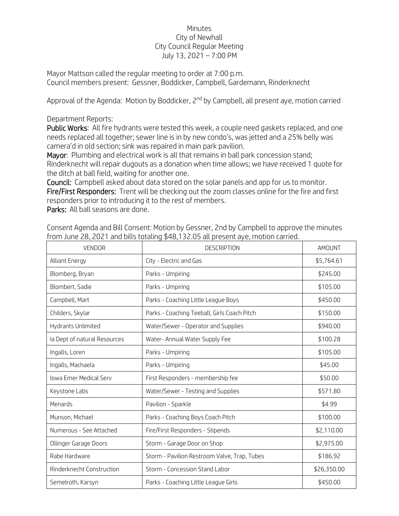## Minutes City of Newhall City Council Regular Meeting July 13, 2021 – 7:00 PM

Mayor Mattson called the regular meeting to order at 7:00 p.m. Council members present: Gessner, Boddicker, Campbell, Gardemann, Rinderknecht

Approval of the Agenda: Motion by Boddicker, 2<sup>nd</sup> by Campbell, all present aye, motion carried

Department Reports:

Public Works: All fire hydrants were tested this week, a couple need gaskets replaced, and one needs replaced all together; sewer line is in by new condo's, was jetted and a 25% belly was camera'd in old section; sink was repaired in main park pavilion.

Mayor: Plumbing and electrical work is all that remains in ball park concession stand; Rinderknecht will repair dugouts as a donation when time allows; we have received 1 quote for the ditch at ball field, waiting for another one.

Council: Campbell asked about data stored on the solar panels and app for us to monitor. Fire/First Responders: Trent will be checking out the zoom classes online for the fire and first responders prior to introducing it to the rest of members.

Parks: All ball seasons are done.

| <b>VENDOR</b>                | <b>DESCRIPTION</b>                           | AMOUNT      |
|------------------------------|----------------------------------------------|-------------|
| Alliant Energy               | City - Electric and Gas                      | \$5,764.61  |
| Blomberg, Bryan              | Parks - Umpiring                             | \$245.00    |
| Blombert, Sadie              | Parks - Umpiring                             | \$105.00    |
| Campbell, Mart               | Parks - Coaching Little League Boys          | \$450.00    |
| Childers, Skylar             | Parks - Coaching Teeball, Girls Coach Pitch  | \$150.00    |
| Hydrants Unlimited           | Water/Sewer - Operator and Supplies          | \$940.00    |
| la Dept of natural Resources | Water- Annual Water Supply Fee               | \$100.28    |
| Ingalls, Loren               | Parks - Umpiring                             | \$105.00    |
| Ingalls, Machaela            | Parks - Umpiring                             | \$45.00     |
| Iowa Emer Medical Serv       | First Responders - membership fee            | \$50.00     |
| Keystone Labs                | Water/Sewer - Testing and Supplies           | \$571.80    |
| Menards                      | Pavilion - Sparkle                           | \$4.99      |
| Munson, Michael              | Parks - Coaching Boys Coach Pitch            | \$100.00    |
| Numerous - See Attached      | Fire/First Responders - Stipends             | \$2,110.00  |
| Ollinger Garage Doors        | Storm - Garage Door on Shop                  | \$2,975.00  |
| Rabe Hardware                | Storm - Pavilion Restroom Valve, Trap, Tubes | \$186.92    |
| Rinderknecht Construction    | Storm - Concession Stand Labor               | \$26,350.00 |
| Semelroth, Karsyn            | Parks - Coaching Little League Girls         | \$450.00    |

Consent Agenda and Bill Consent: Motion by Gessner, 2nd by Campbell to approve the minutes from June 28, 2021 and bills totaling \$48,132.05 all present aye, motion carried.